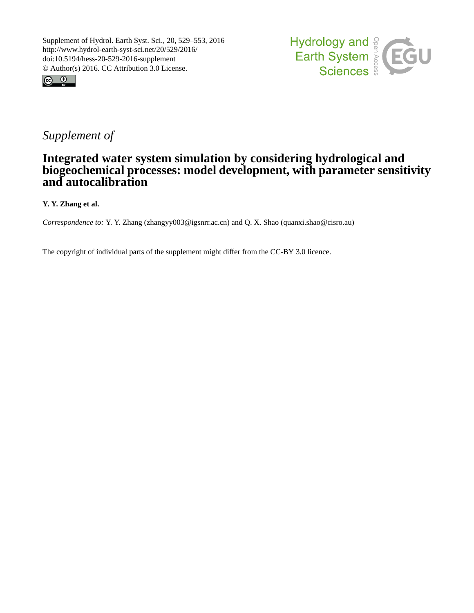



# *Supplement of*

## **Integrated water system simulation by considering hydrological and biogeochemical processes: model development, with parameter sensitivity and autocalibration**

## **Y. Y. Zhang et al.**

*Correspondence to:* Y. Y. Zhang (zhangyy003@igsnrr.ac.cn) and Q. X. Shao (quanxi.shao@cisro.au)

The copyright of individual parts of the supplement might differ from the CC-BY 3.0 licence.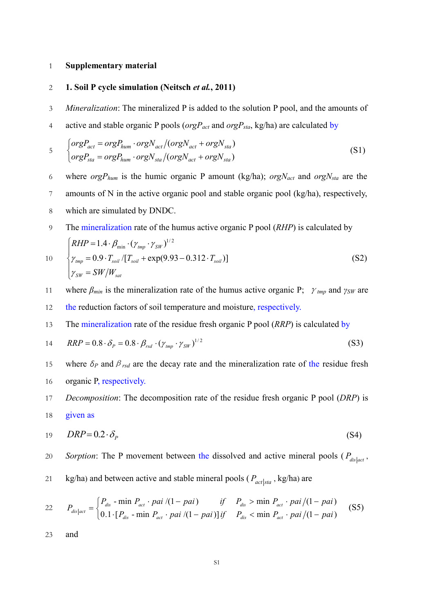#### 1 **Supplementary material**

## 2 **1. Soil P cycle simulation (Neitsch** *et al.***, 2011)**

- 3 *Mineralization*: The mineralized P is added to the solution P pool, and the amounts of
- 4 active and stable organic P pools (*orgPact* and *orgPsta*, kg/ha) are calculated by

$$
\begin{aligned}\n &\quad \int \text{org} P_{act} = \text{org} P_{hum} \cdot \text{org} N_{act} / (\text{org} N_{act} + \text{org} N_{sta}) \\
 &\quad \int \text{org} P_{sta} = \text{org} P_{hum} \cdot \text{org} N_{sta} / (\text{org} N_{act} + \text{org} N_{sta})\n \end{aligned}\n \tag{S1}
$$

- 6 where *orgPhum* is the humic organic P amount (kg/ha); *orgNact* and *orgNsta* are the
- 7 amounts of N in the active organic pool and stable organic pool (kg/ha), respectively,
- 8 which are simulated by DNDC.
- 9 The mineralization rate of the humus active organic P pool (*RHP*) is calculated by

10  
\n
$$
\begin{cases}\nRHP = 1.4 \cdot \beta_{\min} \cdot (\gamma_{tmp} \cdot \gamma_{SW})^{1/2} \\
\gamma_{tmp} = 0.9 \cdot T_{soil} / [T_{soil} + \exp(9.93 - 0.312 \cdot T_{soil})] \\
\gamma_{SW} = SW/W_{sat}\n\end{cases}
$$
\n(S2)

- 11 where *βmin* is the mineralization rate of the humus active organic P; <sup>γ</sup>*tmp* and *γSW* are
- 12 the reduction factors of soil temperature and moisture, respectively.
- 13 The mineralization rate of the residue fresh organic P pool (*RRP*) is calculated by

$$
14 \qquad RRP = 0.8 \cdot \delta_p = 0.8 \cdot \beta_{rsd} \cdot (\gamma_{\text{tmp}} \cdot \gamma_{\text{SW}})^{1/2} \tag{S3}
$$

- 15 where  $\delta_P$  and  $\beta_{rsd}$  are the decay rate and the mineralization rate of the residue fresh 16 organic P, respectively.
- 17 *Decomposition*: The decomposition rate of the residue fresh organic P pool (*DRP*) is 18 given as

$$
19 \qquad DRP = 0.2 \cdot \delta_p \tag{S4}
$$

*Sorption*: The P movement between the dissolved and active mineral pools ( $P_{dis|act}$ )

21 kg/ha) and between active and stable mineral pools ( $P_{act|sta}$ , kg/ha) are

$$
P_{dis|act} = \begin{cases} P_{dis} - \min P_{act} \cdot pai \ / (1 - pai) & if \quad P_{dis} > \min P_{act} \cdot pai \ / (1 - pai) \\ 0.1 \cdot [P_{dis} - \min P_{act} \cdot pai \ / (1 - pai)] \ if & P_{dis} < \min P_{act} \cdot pai \ / (1 - pai) \end{cases} \tag{S5}
$$

23 and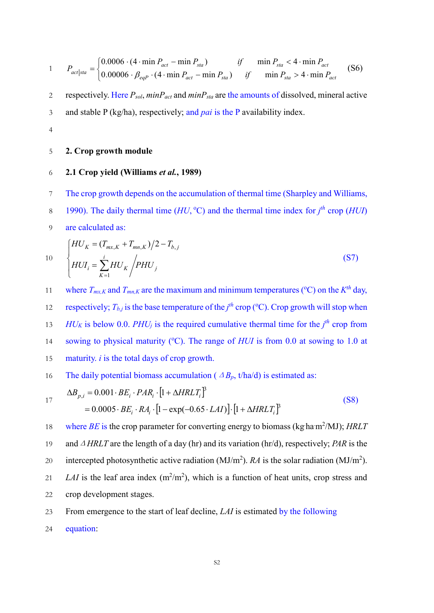$$
1 \qquad P_{act|sta} = \begin{cases} 0.0006 \cdot (4 \cdot \min P_{act} - \min P_{sta}) & \text{if} \quad \min P_{sta} < 4 \cdot \min P_{act} \\ 0.00006 \cdot \beta_{eqP} \cdot (4 \cdot \min P_{act} - \min P_{sta}) & \text{if} \quad \min P_{sta} > 4 \cdot \min P_{act} \end{cases} \tag{S6}
$$

2 respectively. Here *Psol*, *minPact* and *minPsta* are the amounts of dissolved, mineral active 3 and stable P (kg/ha), respectively; and *pai* is the P availability index.

4

## 5 **2. Crop growth module**

## 6 **2.1 Crop yield (Williams** *et al.***, 1989)**

- 7 The crop growth depends on the accumulation of thermal time (Sharpley and Williams,
- 1990). The daily thermal time  $(HU, {}^{\circ}C)$  and the thermal time index for  $j<sup>th</sup>$  crop  $(HUI)$
- 9 are calculated as:

 *j i K i K K mx K mn K b j HUI HU PHU HU T T T* 1 , , 2 , ( ) 10 (S7)

11 where  $T_{mx,K}$  and  $T_{mn,K}$  are the maximum and minimum temperatures (°C) on the  $K^{th}$  day, respectively;  $T_{b,j}$  is the base temperature of the  $j<sup>th</sup>$  crop (°C). Crop growth will stop when *HU<sub>K</sub>* is below 0.0. *PHU<sub>j</sub>* is the required cumulative thermal time for the  $j<sup>th</sup>$  crop from 14 sowing to physical maturity (°C). The range of *HUI* is from 0.0 at sowing to 1.0 at 15 maturity. *i* is the total days of crop growth.

16 The daily potential biomass accumulation (
$$
\Delta B_p
$$
, t/ha/d) is estimated as:

$$
17\quad
$$

$$
\Delta B_{p,i} = 0.001 \cdot BE_i \cdot PAR_i \cdot [1 + \Delta HRLT_i]^3
$$
  
= 0.0005 \cdot BE\_i \cdot RA\_i \cdot [1 - exp(-0.65 \cdot LAI)] \cdot [1 + \Delta HRLT\_i]^3 (S8)

18 where  $BE$  is the crop parameter for converting energy to biomass (kg ha $m^2$ /MJ); *HRLT* 19 andΔ*HRLT* are the length of a day (hr) and its variation (hr/d), respectively; *PAR* is the 20 intercepted photosynthetic active radiation (MJ/m<sup>2</sup>). *RA* is the solar radiation (MJ/m<sup>2</sup>). 21 *LAI* is the leaf area index  $(m^2/m^2)$ , which is a function of heat units, crop stress and 22 crop development stages.

23 From emergence to the start of leaf decline, *LAI* is estimated by the following

24 equation: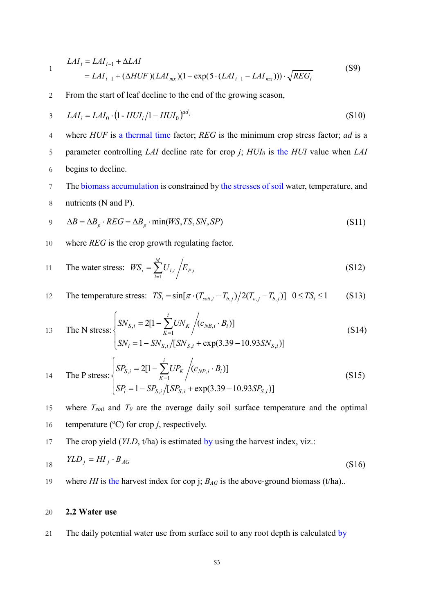$$
LAI_{i} = LAI_{i-1} + \Delta LAI
$$
  
=  $LAI_{i-1} + (\Delta HUF)(LAI_{mx})(1 - \exp(5 \cdot (LAI_{i-1} - LAI_{mx}))) \cdot \sqrt{REG_{i}}$  (S9)

2 From the start of leaf decline to the end of the growing season,

3 
$$
LAI_i = LAI_0 \cdot (1 - HUI_i/1 - HUI_0)^{ad_j}
$$
 (S10)

4 where *HUF* is a thermal time factor; *REG* is the minimum crop stress factor; *ad* is a 5 parameter controlling *LAI* decline rate for crop *j*; *HUI0* is the *HUI* value when *LAI* 6 begins to decline.

7 The biomass accumulation is constrained by the stresses of soil water, temperature, and 8 nutrients (N and P).

$$
9 \Delta B = \Delta B_p \cdot REG = \Delta B_p \cdot \min(WS, TS, SN, SP)
$$
\n
$$
(S11)
$$

10 where *REG* is the crop growth regulating factor.

11 The water stress: 
$$
WS_i = \sum_{l=1}^{M} U_{l,i} / E_{P,i}
$$
 (S12)

12 The temperature stress: 
$$
TS_i = \sin[\pi \cdot (T_{\text{solid},i} - T_{b,j})/2(T_{o,j} - T_{b,j})]
$$
  $0 \le TS_i \le 1$  (S13)

13 The N stress: 
$$
\begin{cases} SN_{S,i} = 2[1 - \sum_{K=1}^{i} UN_K / (c_{NB,i} \cdot B_i)] \\ SN_i = 1 - SN_{S,i} / [SN_{S,i} + \exp(3.39 - 10.93SN_{S,i})] \end{cases}
$$
(S14)

14 The P stress: 
$$
\begin{cases} SP_{S,i} = 2[1 - \sum_{K=1}^{i} UP_K / (c_{NP,i} \cdot B_i)] \\ SP_i = 1 - SP_{S,i} / [SP_{S,i} + \exp(3.39 - 10.93SP_{S,i})] \end{cases}
$$
(S15)

15 where *Tsoil* and *T0* are the average daily soil surface temperature and the optimal 16 temperature ( $\rm{^o}C$ ) for crop *j*, respectively.

17 The crop yield (*YLD*, t/ha) is estimated by using the harvest index, viz.:

$$
YLD_j = HI_j \cdot B_{AG} \tag{S16}
$$

19 where *HI* is the harvest index for cop j;  $B_{AG}$  is the above-ground biomass (t/ha)..

#### 20 **2.2 Water use**

21 The daily potential water use from surface soil to any root depth is calculated by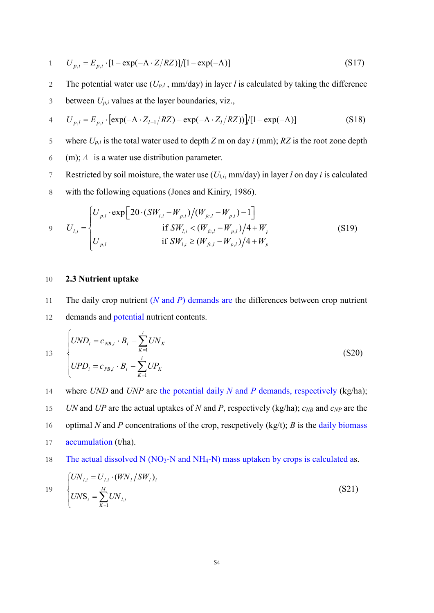$$
1 \qquad U_{p,i} = E_{p,i} \cdot [1 - \exp(-\Lambda \cdot Z/RZ)] / [1 - \exp(-\Lambda)] \tag{S17}
$$

2 The potential water use  $(U_{p,l}$ , mm/day) in layer *l* is calculated by taking the difference 3 between  $U_{p,i}$  values at the layer boundaries, viz.,

4 
$$
U_{p,l} = E_{p,i} \cdot [\exp(-\Lambda \cdot Z_{l-1}/RZ) - \exp(-\Lambda \cdot Z_l/RZ))] / [1 - \exp(-\Lambda)]
$$
 (S18)

- 5 where  $U_{p,i}$  is the total water used to depth *Z* m on day *i* (mm); *RZ* is the root zone depth
- 6 (m);  $\Lambda$  is a water use distribution parameter.
- 7 Restricted by soil moisture, the water use (*Ul,i*, mm/day) in layer *l* on day *i* is calculated
- 8 with the following equations (Jones and Kiniry, 1986).

$$
V_{l,i} = \begin{cases} U_{p,l} \cdot \exp\left[20 \cdot (SW_{l,i} - W_{p,l})/(W_{fc,l} - W_{p,l}) - 1\right] & \text{if } SW_{l,i} < (W_{fc,l} - W_{p,l})/4 + W_{l} \\ U_{p,l} & \text{if } SW_{l,i} \ge (W_{fc,l} - W_{p,l})/4 + W_{p} \end{cases}
$$
(S19)

#### 10 **2.3 Nutrient uptake**

11 The daily crop nutrient (*N* and *P*) demands are the differences between crop nutrient 12 demands and potential nutrient contents.

13 
$$
\begin{cases} UND_i = c_{NB,i} \cdot B_i - \sum_{K=1}^{i} UN_K \\ UPD_i = c_{PB,i} \cdot B_i - \sum_{K=1}^{i} UP_K \end{cases}
$$
 (S20)

- 14 where *UND* and *UNP* are the potential daily *N* and *P* demands, respectively (kg/ha); 15 *UN* and *UP* are the actual uptakes of *N* and *P*, respectively (kg/ha);  $c_{NB}$  and  $c_{NP}$  are the 16 optimal *N* and *P* concentrations of the crop, rescpetively (kg/t); *B* is the daily biomass 17 accumulation (t/ha).
- 18 The actual dissolved N (NO<sub>3</sub>-N and NH<sub>4</sub>-N) mass uptaken by crops is calculated as.

19 
$$
\begin{cases} UN_{l,i} = U_{l,i} \cdot (WN_l / SW_l)_i \\ UNS_i = \sum_{K=1}^{M} UN_{l,i} \end{cases}
$$
 (S21)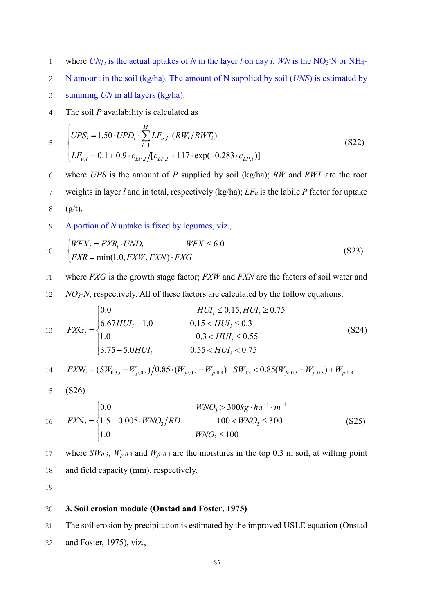where  $UN_{l,i}$  is the actual uptakes of *N* in the layer *l* on day *i. WN* is the NO<sub>3</sub> N or NH<sub>4</sub>-

2 N amount in the soil (kg/ha). The amount of N supplied by soil (*UNS*) is estimated by

- 3 summing *UN* in all layers (kg/ha).
- 4 The soil *P* availability is calculated as

$$
\begin{cases}\nUPS_i = 1.50 \cdot UPD_i \cdot \sum_{l=1}^{M} LF_{u,l} \cdot (RW_l/RWT_i) \\
LF_{u,l} = 0.1 + 0.9 \cdot c_{LP,l} / [c_{LP,l} + 117 \cdot \exp(-0.283 \cdot c_{LP,l})]\n\end{cases} \tag{S22}
$$

6 where *UPS* is the amount of *P* supplied by soil (kg/ha); *RW* and *RWT* are the root 7 weights in layer *l* and in total, respectively (kg/ha);  $LF_u$  is the labile *P* factor for uptake  $6.6$ 

$$
8 \qquad (g/t).
$$

9 A portion of *N* uptake is fixed by legumes, viz.,

$$
10 \t\t \begin{cases} WFX_i = FXR_i \cdot UND_i & WFX \le 6.0 \\ FXR = \min(1.0, FXW, FXN) \cdot FXG \end{cases}
$$
 (S23)

- 11 where *FXG* is the growth stage factor; *FXW* and *FXN* are the factors of soil water and
- 12 *NO3-N*, respectively. All of these factors are calculated by the follow equations.

13 
$$
FXG_i = \begin{cases} 0.0 & HUI_i \le 0.15, HUI_i \ge 0.75 \\ 6.67HUI_i - 1.0 & 0.15 < HUI_i \le 0.3 \\ 1.0 & 0.3 < HUI_i \le 0.55 \\ 3.75 - 5.0HUI_i & 0.55 < HUI_i < 0.75 \end{cases} \tag{S24}
$$

14 
$$
FXW_i = (SW_{0.3,i} - W_{p,0.3})/0.85 \cdot (W_{fc,0.3} - W_{p,0.3})
$$
  $SW_{0.3} < 0.85(W_{fc,0.3} - W_{p,0.3}) + W_{p,0.3}$ 

$$
15\quad\quad\text{(S26)}
$$

$$
16 \qquad FXN_i = \begin{cases} 0.0 & WNO_3 > 300kg \cdot ha^{-1} \cdot m^{-1} \\ 1.5 - 0.005 \cdot WNO_3 / RD & 100 < WNO_3 \le 300 \\ 1.0 & WNO_3 \le 100 \end{cases} \tag{S25}
$$

where 
$$
SW_{0.3}
$$
,  $W_{p,0.3}$  and  $W_{fc,0.3}$  are the moisture in the top 0.3 m soil, at willing point and field capacity (mm), respectively.

19

## 20 **3. Soil erosion module (Onstad and Foster, 1975)**

21 The soil erosion by precipitation is estimated by the improved USLE equation (Onstad

22 and Foster, 1975), viz.,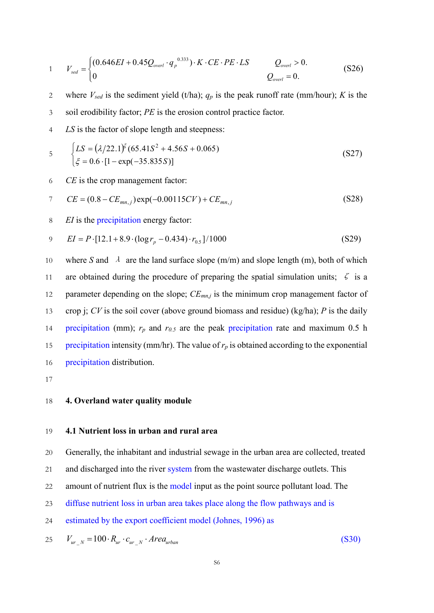1 
$$
V_{sed} = \begin{cases} (0.646EI + 0.45Q_{overl} \cdot q_p^{0.333}) \cdot K \cdot CE \cdot PE \cdot LS & Q_{overl} > 0. \\ 0 & Q_{overl} = 0. \end{cases}
$$
 (S26)

- 2 where  $V_{\text{sed}}$  is the sediment yield (t/ha);  $q_p$  is the peak runoff rate (mm/hour); *K* is the
- 3 soil erodibility factor; *PE* is the erosion control practice factor.
- 4 *LS* is the factor of slope length and steepness:

$$
\begin{cases}\nLS = (\lambda/22.1)^{\xi} (65.41S^2 + 4.56S + 0.065) \\
\xi = 0.6 \cdot [1 - \exp(-35.835S)]\n\end{cases}
$$
\n(S27)

6 *CE* is the crop management factor:

7 
$$
CE = (0.8 - CE_{mn,j}) \exp(-0.00115CV) + CE_{mn,j}
$$
 (S28)

8 *EI* is the precipitation energy factor:

9 
$$
EI = P \cdot [12.1 + 8.9 \cdot (\log r_p - 0.434) \cdot r_{0.5}] / 1000
$$
 (S29)

10 where *S* and  $\lambda$  are the land surface slope (m/m) and slope length (m), both of which 11 are obtained during the procedure of preparing the spatial simulation units;  $\zeta$  is a 12 parameter depending on the slope;  $CE_{mn,j}$  is the minimum crop management factor of 13 crop j; *CV* is the soil cover (above ground biomass and residue) (kg/ha); *P* is the daily 14 precipitation (mm);  $r_p$  and  $r_{0.5}$  are the peak precipitation rate and maximum 0.5 h 15 precipitation intensity (mm/hr). The value of  $r_p$  is obtained according to the exponential 16 precipitation distribution.

17

#### 18 **4. Overland water quality module**

### 19 **4.1 Nutrient loss in urban and rural area**

20 Generally, the inhabitant and industrial sewage in the urban area are collected, treated

- 21 and discharged into the river system from the wastewater discharge outlets. This
- 22 amount of nutrient flux is the model input as the point source pollutant load. The
- 23 diffuse nutrient loss in urban area takes place along the flow pathways and is

24 estimated by the export coefficient model (Johnes, 1996) as

$$
V_{ur} = 100 \cdot R_{ur} \cdot c_{ur} \cdot Area_{urban} \tag{S30}
$$

S6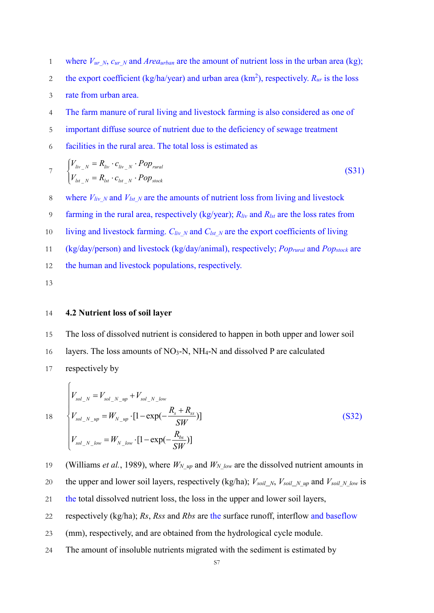- 1 where  $V_{ur,N}$ ,  $c_{ur,N}$  and *Area<sub>urban</sub>* are the amount of nutrient loss in the urban area (kg);
- the export coefficient (kg/ha/year) and urban area (km<sup>2</sup>), respectively.  $R_{ur}$  is the loss
- 3 rate from urban area.
- 4 The farm manure of rural living and livestock farming is also considered as one of
- 5 important diffuse source of nutrient due to the deficiency of sewage treatment
- 6 facilities in the rural area. The total loss is estimated as

$$
V_{\text{liv}_N} = R_{\text{liv}} \cdot c_{\text{liv}_N} \cdot Pop_{\text{rural}}
$$
\n
$$
V_{\text{lst}_N} = R_{\text{lst}} \cdot c_{\text{lst}_N} \cdot Pop_{\text{stock}}
$$
\n(S31)

- 8 where  $V_{liv\_N}$  and  $V_{lst\_N}$  are the amounts of nutrient loss from living and livestock
- 9 farming in the rural area, respectively (kg/year); *Rliv* and *Rlst* are the loss rates from
- 10 living and livestock farming. *Cliv<sub>N</sub>* and *Clst<sub>N</sub>* are the export coefficients of living
- 11 (kg/day/person) and livestock (kg/day/animal), respectively; *Poprural* and *Popstock* are

12 the human and livestock populations, respectively.

13

 $\sqrt{ }$ 

#### 14 **4.2 Nutrient loss of soil layer**

15 The loss of dissolved nutrient is considered to happen in both upper and lower soil 16 layers. The loss amounts of  $NO<sub>3</sub>-N$ ,  $NH<sub>4</sub>-N$  and dissolved P are calculated 17 respectively by

18  
\n
$$
V_{sol_{N}} = V_{sol_{N_{up}}} + V_{sol_{N_{up}}} - V_{sol_{N_{up}}} + V_{sol_{N_{up}}} \tag{S32}
$$
\n
$$
V_{sol_{N_{up}}} = W_{N_{up}} \cdot [1 - \exp(-\frac{R_s + R_{ss}}{SW})]
$$
\n
$$
V_{sol_{N_{up}}} = W_{N_{low}} \cdot [1 - \exp(-\frac{R_{bs}}{SW})]
$$

19 (Williams *et al.*, 1989), where  $W_N$  <sub>up</sub> and  $W_N$  low are the dissolved nutrient amounts in 20 the upper and lower soil layers, respectively (kg/ha);  $V_{soli}N$ ,  $V_{soli}N$  up and  $V_{soil}N$  low is the total dissolved nutrient loss, the loss in the upper and lower soil layers, respectively (kg/ha); *Rs*, *Rss* and *Rbs* are the surface runoff, interflow and baseflow (mm), respectively, and are obtained from the hydrological cycle module. The amount of insoluble nutrients migrated with the sediment is estimated by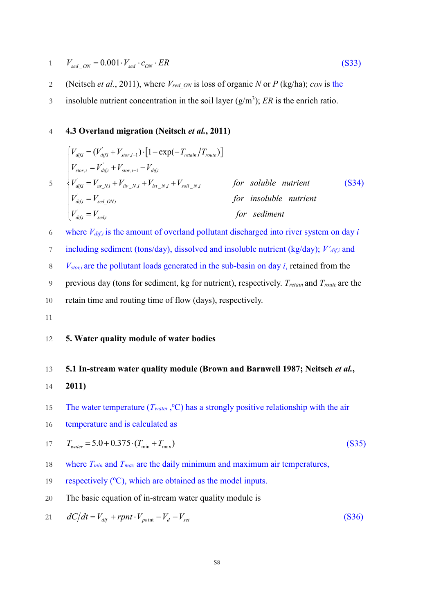$$
1 \qquad V_{\text{sed}\_\text{ON}} = 0.001 \cdot V_{\text{sed}} \cdot c_{\text{ON}} \cdot ER \tag{S33}
$$

- 2 (Neitsch *et al.*, 2011), where *Vsed\_ON* is loss of organic *N* or *P* (kg/ha); *cON* is the
- insoluble nutrient concentration in the soil layer  $(g/m<sup>3</sup>)$ ; *ER* is the enrich ratio.

## 4 **4.3 Overland migration (Neitsch** *et al.***, 2011)**

$$
\begin{cases}\nV_{\text{diff}} = (V_{\text{diff}}^{\dagger} + V_{\text{stor},i-1}) \cdot [1 - \exp(-T_{\text{retain}}/T_{\text{route}})] \\
V_{\text{stor},i} = V_{\text{diff}}^{\dagger} + V_{\text{stor},i-1} - V_{\text{diff}} \\
V_{\text{diff},i}^{\dagger} = V_{\text{ur\_N},i} + V_{\text{liv\_N},i} + V_{\text{lst\_N},i} + V_{\text{soil\_N},i} & \text{for soluble nutrient} \\
V_{\text{diff},i}^{\dagger} = V_{\text{sed\_ON},i} & \text{for isoluble nutrient} \\
V_{\text{diff},i}^{\dagger} = V_{\text{sed},i} & \text{for sediment} \\
\end{cases}
$$
\n(S34)

6 where *Vdif,i* is the amount of overland pollutant discharged into river system on day *i*

7 including sediment (tons/day), dissolved and insoluble nutrient (kg/day); *V'aif,i* and

- 8 *Vstor,i* are the pollutant loads generated in the sub-basin on day *i*, retained from the
- 9 previous day (tons for sediment, kg for nutrient), respectively. *Tretain* and *Troute* are the
- 10 retain time and routing time of flow (days), respectively.
- 11

## 12 **5. Water quality module of water bodies**

#### 13 **5.1 In-stream water quality module (Brown and Barnwell 1987; Neitsch** *et al.***,**

- 14 **2011)**
- 15 The water temperature  $(T_{water}, {}^{\circ}C)$  has a strongly positive relationship with the air
- 16 temperature and is calculated as

$$
T_{water} = 5.0 + 0.375 \cdot (T_{min} + T_{max})
$$
\n(S35)

- 18 where *Tmin* and *Tmax* are the daily minimum and maximum air temperatures,
- respectively  $({}^{\circ}C)$ , which are obtained as the model inputs.
- 20 The basic equation of in-stream water quality module is

$$
21 \qquad dC/dt = V_{dif} + rpn t \cdot V_{point} - V_d - V_{set}
$$
\n
$$
(S36)
$$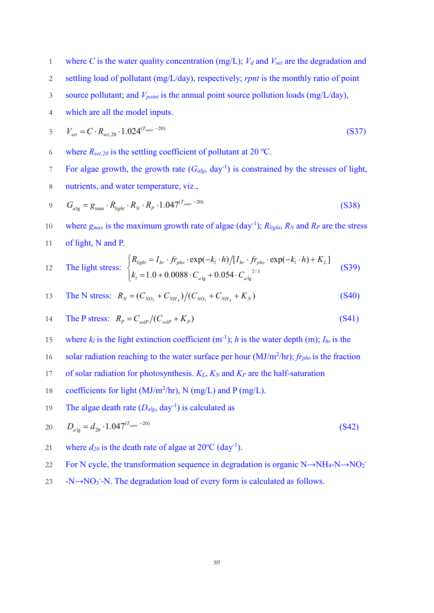1 where *C* is the water quality concentration (mg/L);  $V_d$  and  $V_{set}$  are the degradation and

- 2 settling load of pollutant (mg/L/day), respectively; *rpnt* is the monthly ratio of point
- 3 source pollutant; and *Vpoint* is the annual point source pollution loads (mg/L/day),
- 4 which are all the model inputs.

$$
V_{set} = C \cdot R_{set,20} \cdot 1.024^{(T_{water} - 20)}
$$
\n(S37)

- 6 where  $R_{set,20}$  is the settling coefficient of pollutant at 20 °C.
- For algae growth, the growth rate  $(G_{alg}, day^{-1})$  is constrained by the stresses of light,
- 8 nutrients, and water temperature, viz.,

$$
9 \tGalg = gmax \t Rlight \t RN \t RP \t 1.047(Twater - 20)
$$
\t(S38)

10 where  $g_{max}$  is the maximum growth rate of algae (day<sup>-1</sup>);  $R_{light}$ ,  $R_N$  and  $R_P$  are the stress 11 of light, N and P.

12 The light stress: 
$$
\begin{cases} R_{light} = I_{hr} \cdot fr_{pho} \cdot \exp(-k_l \cdot h) / [I_{hr} \cdot fr_{pho} \cdot \exp(-k_l \cdot h) + K_L] \\ k_l = 1.0 + 0.0088 \cdot C_{a \lg} + 0.054 \cdot C_{a \lg}^{2/3} \end{cases}
$$
(S39)

13 The N stress: 
$$
R_N = (C_{NO_3} + C_{NH_4})/(C_{NO_3} + C_{NH_4} + K_N)
$$
 (S40)

$$
14 \t The P stress: \t R_P = C_{\text{solP}} / (C_{\text{solP}} + K_P) \t (S41)
$$

- 15 where  $k_l$  is the light extinction coefficient (m<sup>-1</sup>); *h* is the water depth (m);  $I_{hr}$  is the
- solar radiation reaching to the water surface per hour  $(MJ/m<sup>2</sup>/hr)$ ; *fr<sub>pho</sub>* is the fraction
- 17 of solar radiation for photosynthesis.  $K_L$ ,  $K_N$  and  $K_P$  are the half-saturation
- 18 coefficients for light (MJ/m<sup>2</sup>/hr), N (mg/L) and P (mg/L).
- 19 The algae death rate  $(D_{alg}, day^{-1})$  is calculated as

$$
D_{a\lg} = d_{20} \cdot 1.047^{(T_{water} - 20)}\tag{S42}
$$

- 21 where  $d_{20}$  is the death rate of algae at  $20^{\circ}$ C (day<sup>-1</sup>).
- 22 For N cycle, the transformation sequence in degradation is organic  $N \rightarrow NH_4-NO_2$
- $23 \text{ -}N \rightarrow NO_3$  -N. The degradation load of every form is calculated as follows.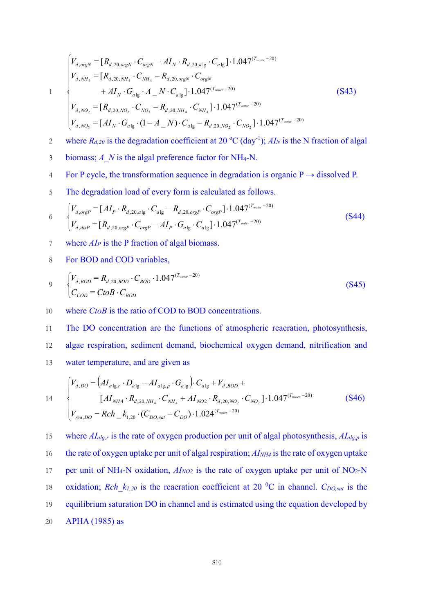$$
1 \\
$$

 $\overline{1}$  $\overline{ }$  $\overline{1}$ 

 $\overline{1}$ 

↑

 $\overline{1}$ 

 $\overline{\mathcal{L}}$ 

$$
\begin{cases}\nV_{d,orgN} = [R_{d,20,orgN} \cdot C_{orgN} - AI_N \cdot R_{d,20,alg} \cdot C_{alg}] \cdot 1.047^{(T_{water}-20)} \\
V_{d,NH_4} = [R_{d,20,NH_4} \cdot C_{NH_4} - R_{d,20,orgN} \cdot C_{orgN} \\
+ AI_N \cdot G_{alg} \cdot A_N \cdot C_{alg}] \cdot 1.047^{(T_{water}-20)} \\
V_{d,NO_2} = [R_{d,20,NO_2} \cdot C_{NO_2} - R_{d,20,NH_4} \cdot C_{NH_4}] \cdot 1.047^{(T_{water}-20)} \\
V_{d,NO_3} = [AI_N \cdot G_{alg} \cdot (1 - A_N) \cdot C_{alg} - R_{d,20,NO_2} \cdot C_{NO_2}] \cdot 1.047^{(T_{water}-20)}\n\end{cases}
$$
\n(S43)

- where  $R_{d,20}$  is the degradation coefficient at 20 °C (day<sup>-1</sup>);  $AI_N$  is the N fraction of algal
- 3 biomass; *A\_N* is the algal preference factor for NH4-N.
- 4 For P cycle, the transformation sequence in degradation is organic  $P \rightarrow$  dissolved P.
- 5 The degradation load of every form is calculated as follows.

$$
\begin{aligned}\n6 \quad & \begin{cases}\nV_{d,orgP} = [AI_P \cdot R_{d,20,alg} \cdot C_{alg} - R_{d,20,orgP} \cdot C_{orgP}] \cdot 1.047^{(T_{water} - 20)} \\
V_{d,disp} = [R_{d,20,orgP} \cdot C_{orgP} - AI_P \cdot G_{alg} \cdot C_{alg}] \cdot 1.047^{(T_{water} - 20)}\n\end{cases}\n\end{aligned}\n\tag{S44}
$$

- 7 where *AIP* is the P fraction of algal biomass.
- 8 For BOD and COD variables,

$$
V_{d,BOD} = R_{d,20,BOD} \cdot C_{BOD} \cdot 1.047^{(T_{water}-20)}
$$
\n
$$
C_{COD} = CtoB \cdot C_{BOD}
$$
\n(S45)

10 where *CtoB* is the ratio of COD to BOD concentrations.

11 The DO concentration are the functions of atmospheric reaeration, photosynthesis, 12 algae respiration, sediment demand, biochemical oxygen demand, nitrification and 13 water temperature, and are given as

$$
V_{d,DO} = (AI_{a1g,r} \cdot D_{a1g} - AI_{a1g,p} \cdot G_{a1g}) \cdot C_{a1g} + V_{d,BOD} +
$$
  
\n
$$
[AI_{NH4} \cdot R_{d,20,NH_4} \cdot C_{NH_4} + AI_{NO2} \cdot R_{d,20,NO_2} \cdot C_{NO_2}] \cdot 1.047^{(T_{water}-20)}
$$
  
\n
$$
V_{rea,DO} = Rch_{k_{1,20}} \cdot (C_{DO,sat} - C_{DO}) \cdot 1.024^{(T_{water}-20)}
$$
\n(S46)

where 
$$
AI_{alg,r}
$$
 is the rate of oxygen production per unit of algal photosynthesis,  $AI_{alg,p}$  is  
the rate of oxygen uptake per unit of algal respiration;  $AI_{NH4}$  is the rate of oxygen uptake  
per unit of NH<sub>4</sub>-N oxidation,  $AI_{NO2}$  is the rate of oxygen uptake per unit of NO<sub>2</sub>-N  
oxidation;  $Rch_k_{1,20}$  is the reaeration coefficient at 20 <sup>o</sup>C in channel.  $C_{DO,sat}$  is the  
equilibrium saturation DO in channel and is estimated using the equation developed by  
APHA (1985) as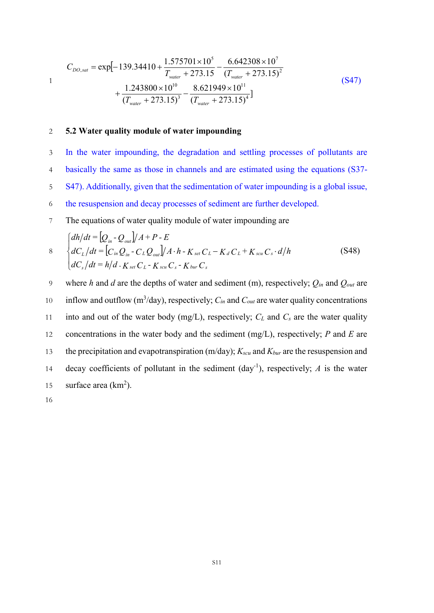$$
C_{DO,sat} = \exp[-139.34410 + \frac{1.575701 \times 10^5}{T_{water} + 273.15} - \frac{6.642308 \times 10^7}{(T_{water} + 273.15)^2} + \frac{1.243800 \times 10^{10}}{(T_{water} + 273.15)^3} - \frac{8.621949 \times 10^{11}}{(T_{water} + 273.15)^4}]
$$
(S47)

#### 2 **5.2 Water quality module of water impounding**

 In the water impounding, the degradation and settling processes of pollutants are basically the same as those in channels and are estimated using the equations (S37- S47). Additionally, given that the sedimentation of water impounding is a global issue, the resuspension and decay processes of sediment are further developed.

7 The equations of water quality module of water impounding are

$$
\begin{cases}\n\frac{dh}{dt} = \left[Q_{in} - Q_{out}\right] / A + P - E \\
dC_L / dt = \left[C_{in} Q_{in} - C_L Q_{out}\right] / A \cdot h - K_{set} C_L - K_d C_L + K_{scu} C_s \cdot d/h \\
dC_s / dt = h/d \cdot K_{set} C_L - K_{scu} C_s - K_{bur} C_s\n\end{cases} \tag{S48}
$$

9 where *h* and *d* are the depths of water and sediment (m), respectively; *Qin* and *Qout* are inflow and outflow  $(m^3 / day)$ , respectively;  $C_{in}$  and  $C_{out}$  are water quality concentrations 11 into and out of the water body  $(mg/L)$ , respectively;  $C_L$  and  $C_s$  are the water quality 12 concentrations in the water body and the sediment (mg/L), respectively; *P* and *E* are 13 the precipitation and evapotranspiration (m/day); *Kscu* and *Kbur* are the resuspension and decay coefficients of pollutant in the sediment  $\left(\frac{day^{-1}}{y}\right)$ , respectively; *A* is the water 15 surface area  $(km^2)$ .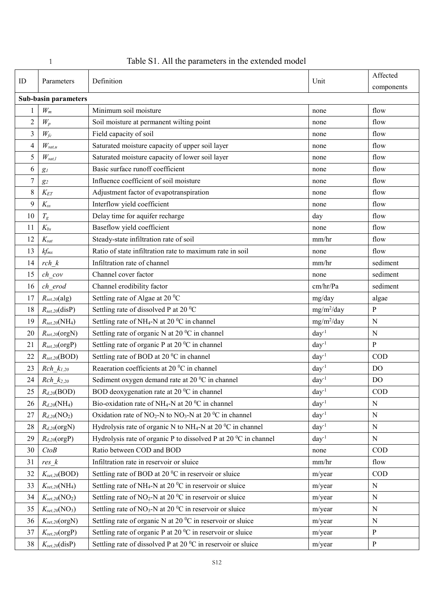|                          |                                 |                                                                                         |                  | Affected       |  |  |  |  |
|--------------------------|---------------------------------|-----------------------------------------------------------------------------------------|------------------|----------------|--|--|--|--|
| ID                       | Parameters                      | Definition                                                                              | Unit             | components     |  |  |  |  |
|                          | Sub-basin parameters            |                                                                                         |                  |                |  |  |  |  |
| 1                        | $\mathcal{W}_m$                 | Minimum soil moisture<br>flow<br>none                                                   |                  |                |  |  |  |  |
| $\mathfrak{2}$           | $W_p$                           | Soil moisture at permanent wilting point                                                | none             | flow           |  |  |  |  |
| $\overline{3}$           | $W_{fc}$                        | Field capacity of soil                                                                  | none             | flow           |  |  |  |  |
| $\overline{\mathcal{A}}$ | $W_{sat,u}$                     | Saturated moisture capacity of upper soil layer                                         | none             | flow           |  |  |  |  |
| 5                        | $W_{sat,l}$                     | Saturated moisture capacity of lower soil layer                                         | none             | flow           |  |  |  |  |
| 6                        | $g_{\it l}$                     | Basic surface runoff coefficient                                                        | none             | flow           |  |  |  |  |
| 7                        | $g_2$                           | Influence coefficient of soil moisture                                                  | none             | flow           |  |  |  |  |
| 8                        | $K_{ET}$                        | Adjustment factor of evapotranspiration                                                 | none             | flow           |  |  |  |  |
| 9                        | $K_{ss}$                        | Interflow yield coefficient                                                             | none             | flow           |  |  |  |  |
| 10                       | $T_g$                           | Delay time for aquifer recharge                                                         | day              | flow           |  |  |  |  |
| 11                       | $K_{bs}$                        | Baseflow yield coefficient                                                              | none             | flow           |  |  |  |  |
| 12                       | $K_{\text{sat}}$                | Steady-state infiltration rate of soil                                                  | mm/hr            | flow           |  |  |  |  |
| 13                       | $kf_{mx}$                       | Ratio of state infiltration rate to maximum rate in soil                                | none             | flow           |  |  |  |  |
| 14                       | $rch \, k$                      | Infiltration rate of channel                                                            | mm/hr            | sediment       |  |  |  |  |
| 15                       | ch cov                          | Channel cover factor<br>none                                                            |                  |                |  |  |  |  |
| 16                       | ch erod                         | Channel erodibility factor                                                              | cm/hr/Pa         | sediment       |  |  |  |  |
| 17                       | $R_{set,20}(alg)$               | Settling rate of Algae at 20 °C<br>mg/day                                               |                  | algae          |  |  |  |  |
| 18                       | $R_{set,20}$ (disP)             | Settling rate of dissolved P at 20 °C<br>$mg/m^2/day$                                   |                  | $\mathbf{P}$   |  |  |  |  |
| 19                       | $R_{set,20}$ (NH <sub>4</sub> ) | Settling rate of NH <sub>4</sub> -N at 20 °C in channel                                 | $mg/m^2/day$     | ${\bf N}$      |  |  |  |  |
| 20                       | $R_{set,20}$ (orgN)             | Settling rate of organic N at 20 °C in channel<br>$day^{-1}$                            |                  | ${\bf N}$      |  |  |  |  |
| 21                       | $R_{set,20}(\text{orgP})$       | Settling rate of organic P at 20 °C in channel                                          | $day^{-1}$       | $\, {\bf P}$   |  |  |  |  |
| 22                       | $R_{set,20}(\text{BOD})$        | Settling rate of BOD at 20 °C in channel                                                | day <sup>1</sup> | <b>COD</b>     |  |  |  |  |
| 23                       | $Rch_{1,20}$                    | Reaeration coefficients at 20 °C in channel                                             | $day^{-1}$       | DO             |  |  |  |  |
| 24                       | <i>Rch</i> $k_{2,20}$           | Sediment oxygen demand rate at 20 °C in channel                                         | $day^{-1}$       | D <sub>O</sub> |  |  |  |  |
| 25                       | $R_{d,20}(\text{BOD})$          | BOD deoxygenation rate at 20 °C in channel                                              | day <sup>1</sup> | COD            |  |  |  |  |
| 26                       | $R_{d,20}(\text{NH}_4)$         | Bio-oxidation rate of NH <sub>4</sub> -N at 20 <sup><math>0</math></sup> C in channel   | $day^{-1}$       | ${\bf N}$      |  |  |  |  |
| 27                       | $R_{d,20}({\rm NO}_2)$          | Oxidation rate of $NO_2$ -N to $NO_3$ -N at 20 °C in channel                            | $day^{-1}$       | ${\bf N}$      |  |  |  |  |
| 28                       | $R_{d,20}$ (orgN)               | Hydrolysis rate of organic N to NH <sub>4</sub> -N at 20 $^0C$ in channel<br>$day^{-1}$ |                  | ${\bf N}$      |  |  |  |  |
| 29                       | $R_{d,20}$ (orgP)               | Hydrolysis rate of organic P to dissolved P at 20 °C in channel                         | $day^{-1}$       | ${\bf N}$      |  |  |  |  |
| 30                       | CtoB                            | Ratio between COD and BOD                                                               | none             | <b>COD</b>     |  |  |  |  |
| 31                       | res k                           | Infiltration rate in reservoir or sluice                                                | mm/hr            | flow           |  |  |  |  |
| 32                       | $K_{set,20}(\text{BOD})$        | Settling rate of BOD at 20 °C in reservoir or sluice                                    | m/year           | $\rm COD$      |  |  |  |  |
| 33                       | $K_{set,20}(\text{NH}_4)$       | Settling rate of NH <sub>4</sub> -N at 20 $^0$ C in reservoir or sluice                 | m/year           | ${\bf N}$      |  |  |  |  |
| 34                       | $K_{set,20}(NO_2)$              | Settling rate of NO <sub>2</sub> -N at 20 $^0$ C in reservoir or sluice                 | m/year           | ${\bf N}$      |  |  |  |  |
| 35                       | $K_{set,20}(NO_3)$              | Settling rate of NO <sub>3</sub> -N at 20 $^0$ C in reservoir or sluice                 | m/year           | ${\bf N}$      |  |  |  |  |
| 36                       | $K_{set,20}$ (orgN)             | Settling rate of organic N at 20 °C in reservoir or sluice<br>m/year<br>N               |                  |                |  |  |  |  |
| 37                       | $K_{set,20}(\text{orgP})$       | Settling rate of organic P at 20 °C in reservoir or sluice<br>${\bf P}$<br>m/year       |                  |                |  |  |  |  |
| 38                       | $K_{set,20}$ (disP)             | Settling rate of dissolved P at 20 °C in reservoir or sluice                            | m/year           | $\, {\bf p}$   |  |  |  |  |

|  | Table S1. All the parameters in the extended model |
|--|----------------------------------------------------|
|--|----------------------------------------------------|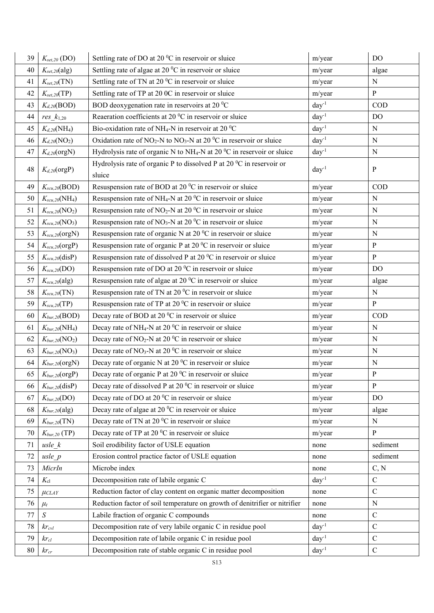| 39 | $K_{set,20}$ (DO)               | Settling rate of DO at 20 °C in reservoir or sluice                                                                 | m/year           | <b>DO</b>     |
|----|---------------------------------|---------------------------------------------------------------------------------------------------------------------|------------------|---------------|
| 40 | $K_{set,20}$ (alg)              | Settling rate of algae at 20 °C in reservoir or sluice                                                              | m/year           | algae         |
| 41 | $K_{set,20}(TN)$                | Settling rate of TN at 20 °C in reservoir or sluice                                                                 | m/year           | N             |
| 42 | $K_{set,20}(TP)$                | Settling rate of TP at 20 0C in reservoir or sluice                                                                 | m/year           | ${\bf P}$     |
| 43 | $K_{d,20}(\text{BOD})$          | BOD deoxygenation rate in reservoirs at 20 °C                                                                       | $day^{-1}$       | $\rm COD$     |
| 44 | $res_k_{1,20}$                  | Reaeration coefficients at 20 °C in reservoir or sluice                                                             | $day^{-1}$       | DO            |
| 45 | $K_{d,20}(\text{NH}_4)$         | Bio-oxidation rate of NH <sub>4</sub> -N in reservoir at 20 $^{\circ}$ C                                            | $day^{-1}$       | ${\bf N}$     |
| 46 | $K_{d,20}(\text{NO}_2)$         | Oxidation rate of NO <sub>2</sub> -N to NO <sub>3</sub> -N at 20 <sup><math>0</math></sup> C in reservoir or sluice | $day^{-1}$       | ${\bf N}$     |
| 47 | $K_{d,20}$ (orgN)               | Hydrolysis rate of organic N to NH <sub>4</sub> -N at 20 <sup><math>0</math></sup> C in reservoir or sluice         | $day^{-1}$       | ${\bf N}$     |
| 48 | $K_{d,20}$ (orgP)               | Hydrolysis rate of organic P to dissolved P at 20 $\mathrm{^0C}$ in reservoir or<br>sluice                          | $day^{-1}$       | P             |
| 49 | $K_{scu, 20}(\text{BOD})$       | Resuspension rate of BOD at 20 °C in reservoir or sluice                                                            | m/year           | COD           |
| 50 | $K_{scu,20}(\text{NH}_4)$       | Resuspension rate of NH <sub>4</sub> -N at 20 $^0$ C in reservoir or sluice                                         | m/year           | ${\bf N}$     |
| 51 | $K_{scu,20}(\text{NO}_2)$       | Resuspension rate of $NO2-N$ at 20 <sup>0</sup> C in reservoir or sluice                                            | m/year           | ${\bf N}$     |
| 52 | $K_{scu,20}(\text{NO}_3)$       | Resuspension rate of NO <sub>3</sub> -N at 20 $^0$ C in reservoir or sluice                                         | m/year           | ${\bf N}$     |
| 53 | $K_{scu,20}$ (orgN)             | Resuspension rate of organic N at 20 °C in reservoir or sluice                                                      | m/year           | ${\bf N}$     |
| 54 | $K_{scu,20}$ (orgP)             | Resuspension rate of organic P at 20 °C in reservoir or sluice                                                      | m/year           | P             |
| 55 | $K_{scu,20}$ (disP)             | Resuspension rate of dissolved P at 20 °C in reservoir or sluice                                                    | m/year           | ${\bf P}$     |
| 56 | $K_{scu,20} (DO)$               | Resuspension rate of DO at 20 °C in reservoir or sluice                                                             | m/year           | DO            |
| 57 | $K_{scu,20}$ (alg)              | Resuspension rate of algae at 20 °C in reservoir or sluice                                                          | m/year           | algae         |
| 58 | $K_{scu,20}(TN)$                | Resuspension rate of TN at 20 °C in reservoir or sluice                                                             | m/year           | ${\bf N}$     |
| 59 | $K_{scu,20}(TP)$                | Resuspension rate of TP at 20 °C in reservoir or sluice                                                             | m/year           | $\, {\bf p}$  |
| 60 | $K_{bur, 20} (BOD)$             | Decay rate of BOD at 20 °C in reservoir or sluice                                                                   | m/year           | COD           |
| 61 | $K_{bur,20}$ (NH <sub>4</sub> ) | Decay rate of NH <sub>4</sub> -N at 20 °C in reservoir or sluice                                                    | m/year           | ${\bf N}$     |
| 62 | $K_{bur,20}(\text{NO}_2)$       | Decay rate of NO <sub>2</sub> -N at 20 <sup><math>0</math></sup> C in reservoir or sluice                           | m/year           | ${\bf N}$     |
| 63 | $K_{bur,20}$ (NO <sub>3</sub> ) | Decay rate of NO <sub>3</sub> -N at 20 <sup><math>0</math></sup> C in reservoir or sluice                           | m/year           | ${\bf N}$     |
| 64 | $K_{bur, 20} (org N)$           | Decay rate of organic N at 20 °C in reservoir or sluice                                                             | m/year           | ${\bf N}$     |
| 65 | $K_{bur, 20} (orgP)$            | Decay rate of organic P at 20 °C in reservoir or sluice                                                             | m/year           | ${\bf P}$     |
| 66 | $K_{bur,20}$ (disP)             | Decay rate of dissolved P at 20 °C in reservoir or sluice                                                           | m/year           | ${\bf P}$     |
| 67 | $K_{bur,20}(DO)$                | Decay rate of DO at 20 °C in reservoir or sluice                                                                    | m/year           | DO            |
| 68 | $K_{bur, 20}$ (alg)             | Decay rate of algae at 20 °C in reservoir or sluice                                                                 | m/year           | algae         |
| 69 | $K_{bur,20}(TN)$                | Decay rate of TN at 20 °C in reservoir or sluice                                                                    | m/year           | $\mathbf N$   |
| 70 | $K_{bur,20}$ (TP)               | Decay rate of TP at 20 °C in reservoir or sluice                                                                    | m/year           | P             |
| 71 | usle k                          | Soil erodibility factor of USLE equation<br>none                                                                    |                  | sediment      |
| 72 | $usle$ $p$                      | Erosion control practice factor of USLE equation                                                                    | none             | sediment      |
| 73 | MicrIn                          | Microbe index                                                                                                       | none             | C, N          |
| 74 | $K_{\rm cl}$                    | Decomposition rate of labile organic C                                                                              | $day^{-1}$       | $\mathcal{C}$ |
| 75 | $\mu$ CLAY                      | Reduction factor of clay content on organic matter decomposition                                                    | none             | $\mathcal{C}$ |
| 76 | $\mu_t$                         | Reduction factor of soil temperature on growth of denitrifier or nitrifier                                          | none             | ${\bf N}$     |
| 77 | $\boldsymbol{S}$                | Labile fraction of organic C compounds                                                                              | none             | $\mathsf C$   |
| 78 | $kr_{cvl}$                      | Decomposition rate of very labile organic C in residue pool                                                         | $day^{-1}$       | $\mathbf C$   |
| 79 | $kr_{cl}$                       | Decomposition rate of labile organic C in residue pool                                                              | day <sup>1</sup> | $\mathcal{C}$ |
| 80 | $kr_{cr}$                       | Decomposition rate of stable organic C in residue pool                                                              | $day^{-1}$       | $\mathsf C$   |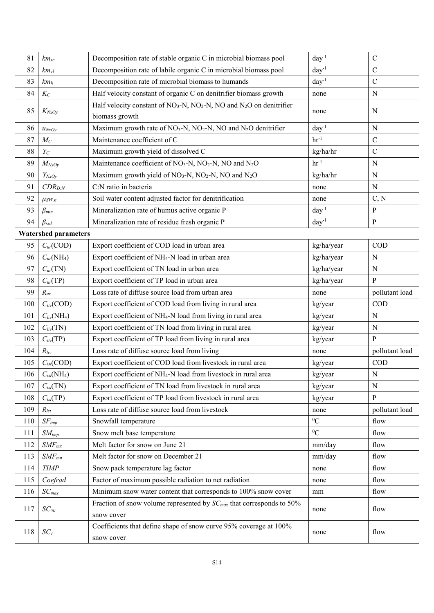| 81  | $km_{sc}$                     | Decomposition rate of stable organic C in microbial biomass pool                                   | $day^{-1}$       | $\mathbf C$    |  |  |
|-----|-------------------------------|----------------------------------------------------------------------------------------------------|------------------|----------------|--|--|
| 82  | $km_{cl}$                     | Decomposition rate of labile organic C in microbial biomass pool                                   | $day^{-1}$       | $\mathsf C$    |  |  |
| 83  | km <sub>h</sub>               | Decomposition rate of microbial biomass to humands                                                 | $day^{-1}$       | $\mathcal{C}$  |  |  |
| 84  | $K_C$                         | Half velocity constant of organic C on denitrifier biomass growth                                  | none             | N              |  |  |
| 85  | $K_{NxOy}$                    | Half velocity constant of $NO_3$ -N, $NO_2$ -N, $NO$ and $N_2O$ on denitrifier<br>biomass growth   | none             | N              |  |  |
| 86  | $u_{NxOy}$                    | Maximum growth rate of NO <sub>3</sub> -N, NO <sub>2</sub> -N, NO and N <sub>2</sub> O denitrifier | $day^{-1}$       | N              |  |  |
| 87  | $M_C$                         | Maintenance coefficient of C                                                                       | $hr-1$           | $\mathsf C$    |  |  |
| 88  | $Y_C$                         | Maximum growth yield of dissolved C                                                                | kg/ha/hr         | $\mathcal{C}$  |  |  |
| 89  | $M_{NxOy}$                    | Maintenance coefficient of NO <sub>3</sub> -N, NO <sub>2</sub> -N, NO and N <sub>2</sub> O         | $hr-1$           | ${\bf N}$      |  |  |
| 90  | $Y_{NxOy}$                    | Maximum growth yield of $NO_3$ -N, $NO_2$ -N, NO and $N_2O$                                        | kg/ha/hr         | N              |  |  |
| 91  | $CDR_{D:N}$                   | C:N ratio in bacteria                                                                              | none             | ${\bf N}$      |  |  |
| 92  | $\mu_{SW,n}$                  | Soil water content adjusted factor for denitrification                                             | none             | C, N           |  |  |
| 93  | $\beta_{min}$                 | Mineralization rate of humus active organic P                                                      | day <sup>1</sup> | ${\bf P}$      |  |  |
| 94  | $\beta_{rsd}$                 | Mineralization rate of residue fresh organic P                                                     | $day^{-1}$       | ${\bf P}$      |  |  |
|     | <b>Watershed parameters</b>   |                                                                                                    |                  |                |  |  |
| 95  | $C_{ur}(\text{COD})$          | Export coefficient of COD load in urban area                                                       | kg/ha/year       | <b>COD</b>     |  |  |
| 96  | $C_{ur}(\text{NH}_4)$         | Export coefficient of NH <sub>4</sub> -N load in urban area                                        | kg/ha/year       | $\mathbf N$    |  |  |
| 97  | $C_{ur}(TN)$                  | Export coefficient of TN load in urban area                                                        | kg/ha/year       | ${\bf N}$      |  |  |
| 98  | $C_{ur}(TP)$                  | Export coefficient of TP load in urban area                                                        | kg/ha/year       | ${\bf P}$      |  |  |
| 99  | $R_{ur}$                      | Loss rate of diffuse source load from urban area                                                   | none             | pollutant load |  |  |
| 100 | $C_{div}$ (COD)               | Export coefficient of COD load from living in rural area                                           | kg/year          | COD            |  |  |
| 101 | $C_{div}(NH_4)$               | Export coefficient of NH <sub>4</sub> -N load from living in rural area                            | kg/year          | ${\bf N}$      |  |  |
| 102 | $C_{div}(TN)$                 | Export coefficient of TN load from living in rural area                                            | kg/year          | $\mathbf N$    |  |  |
| 103 | $C_{div}(TP)$                 | Export coefficient of TP load from living in rural area                                            | kg/year          | $\mathbf{P}$   |  |  |
| 104 | $R_{div}$                     | Loss rate of diffuse source load from living                                                       | none             | pollutant load |  |  |
| 105 | $C_{lst}$ (COD)               | Export coefficient of COD load from livestock in rural area                                        | kg/year          | COD            |  |  |
| 106 | $C_{\text{lst}}(\text{NH}_4)$ | Export coefficient of NH <sub>4</sub> -N load from livestock in rural area                         | kg/year          | ${\bf N}$      |  |  |
| 107 | $C_{lst}(TN)$                 | Export coefficient of TN load from livestock in rural area                                         | kg/year          | $\mathbf N$    |  |  |
| 108 | $C_{\text{lst}}$ (TP)         | Export coefficient of TP load from livestock in rural area                                         | kg/year          | ${\bf P}$      |  |  |
| 109 | $R_{lst}$                     | Loss rate of diffuse source load from livestock                                                    | none             | pollutant load |  |  |
| 110 | $SF_{tmp}$                    | Snowfall temperature                                                                               | ${}^{0}C$        | flow           |  |  |
| 111 | $SM_{tmp}$                    | Snow melt base temperature                                                                         | ${}^{0}C$        | flow           |  |  |
| 112 | $SMF_{mx}$                    | Melt factor for snow on June 21<br>mm/day                                                          |                  | flow           |  |  |
| 113 | $SMF_{mn}$                    | Melt factor for snow on December 21<br>mm/day                                                      |                  | flow           |  |  |
| 114 | <b>TIMP</b>                   | Snow pack temperature lag factor                                                                   | none             | flow           |  |  |
| 115 | Coefrad                       | Factor of maximum possible radiation to net radiation                                              | none             | flow           |  |  |
| 116 | $SC_{max}$                    | Minimum snow water content that corresponds to 100% snow cover                                     | mm               | flow           |  |  |
| 117 | $SC_{50}$                     | Fraction of snow volume represented by $SC_{max}$ that corresponds to 50%<br>snow cover            | none             | flow           |  |  |
| 118 | $SC_I$                        | Coefficients that define shape of snow curve 95% coverage at 100%<br>none<br>snow cover            |                  |                |  |  |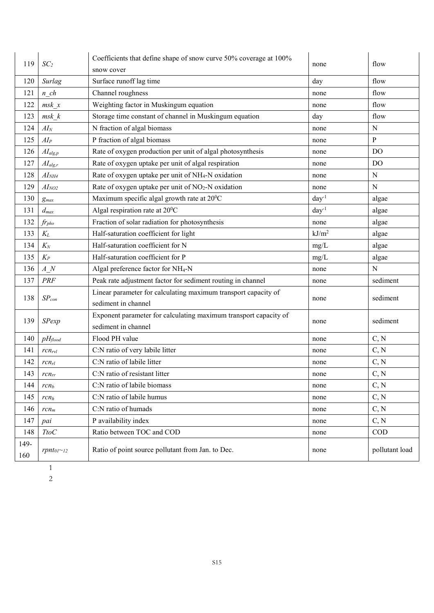| 119  | SC <sub>2</sub>                            | Coefficients that define shape of snow curve 50% coverage at 100% | none              | flow           |  |
|------|--------------------------------------------|-------------------------------------------------------------------|-------------------|----------------|--|
|      |                                            | snow cover                                                        |                   |                |  |
| 120  | Surlag                                     | Surface runoff lag time                                           | day               | flow           |  |
| 121  | $n$ ch                                     | Channel roughness                                                 | none              | flow           |  |
| 122  | msk x                                      | Weighting factor in Muskingum equation                            | none              | flow           |  |
| 123  | $msk$ $k$                                  | Storage time constant of channel in Muskingum equation            | day               | flow           |  |
| 124  | $AI_N$                                     | N fraction of algal biomass                                       | none              | N              |  |
| 125  | $AI_P$                                     | P fraction of algal biomass                                       | none              | $\mathbf{P}$   |  |
| 126  | $AI_{alg,p}$                               | Rate of oxygen production per unit of algal photosynthesis        | none              | D <sub>O</sub> |  |
| 127  | $\mathcal{A}I_{alg,r}$                     | Rate of oxygen uptake per unit of algal respiration               | none              | D <sub>O</sub> |  |
| 128  | AI <sub>NH4</sub>                          | Rate of oxygen uptake per unit of NH <sub>4</sub> -N oxidation    | none              | N              |  |
| 129  | AI <sub>NO2</sub>                          | Rate of oxygen uptake per unit of $NO2-N$ oxidation               | none              | $\mathbf N$    |  |
| 130  | $g_{max}$                                  | Maximum specific algal growth rate at 20°C                        | $day^{-1}$        | algae          |  |
| 131  | $d_{max}$                                  | Algal respiration rate at 20°C                                    | $day^{-1}$        | algae          |  |
| 132  | $f_{rpho}$                                 | Fraction of solar radiation for photosynthesis                    | none              | algae          |  |
| 133  | $K_L$                                      | Half-saturation coefficient for light                             | kJ/m <sup>2</sup> | algae          |  |
| 134  | $K_N$                                      | Half-saturation coefficient for N                                 | mg/L              | algae          |  |
| 135  | $K_P$                                      | Half-saturation coefficient for P                                 | mg/L              | algae          |  |
| 136  | A N                                        | Algal preference factor for NH <sub>4</sub> -N                    | none              | N              |  |
| 137  | PRF                                        | Peak rate adjustment factor for sediment routing in channel       | none              | sediment       |  |
|      | $SP_{con}$                                 | Linear parameter for calculating maximum transport capacity of    |                   | sediment       |  |
| 138  |                                            | sediment in channel                                               | none              |                |  |
| 139  | <b>SPexp</b>                               | Exponent parameter for calculating maximum transport capacity of  |                   | sediment       |  |
|      |                                            | sediment in channel                                               | none              |                |  |
| 140  | $pH_{\text{flood}}$                        | Flood PH value                                                    | none              | C, N           |  |
| 141  | $rcn_{rvl}$                                | C:N ratio of very labile litter                                   | none              | C, N           |  |
| 142  | $rcn_{rl}$                                 | C:N ratio of labile litter                                        | none              | C, N           |  |
| 143  | $rcn_{rr}$                                 | C:N ratio of resistant litter                                     | none              | C, N           |  |
| 144  | rcn <sub>b</sub>                           | C:N ratio of labile biomass                                       | none              | C, N           |  |
| 145  | rcn <sub>h</sub>                           | C:N ratio of labile humus                                         | none              | C, N           |  |
| 146  | $rcn_m$                                    | C:N ratio of humads                                               | none              | C, N           |  |
| 147  | pai                                        | P availability index                                              | none              | C, N           |  |
| 148  | $TtoC$                                     | Ratio between TOC and COD                                         | none              | <b>COD</b>     |  |
| 149- |                                            | Ratio of point source pollutant from Jan. to Dec.                 |                   | pollutant load |  |
| 160  | rpnt <sub>01</sub> ~ <sub>12</sub><br>none |                                                                   |                   |                |  |
|      | $\mathbf{1}$                               |                                                                   |                   |                |  |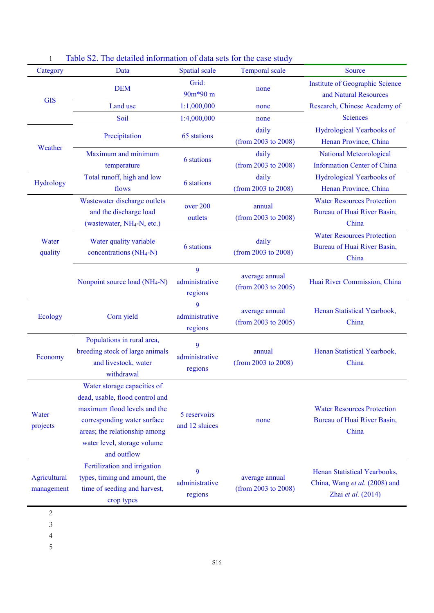| Category                   | Data                                                                                                                                                                                                         | <b>Spatial scale</b>                       | <b>Temporal scale</b>                 | <b>Source</b>                                                                       |  |
|----------------------------|--------------------------------------------------------------------------------------------------------------------------------------------------------------------------------------------------------------|--------------------------------------------|---------------------------------------|-------------------------------------------------------------------------------------|--|
|                            | <b>DEM</b>                                                                                                                                                                                                   | Grid:<br>90m*90 m                          | none                                  | <b>Institute of Geographic Science</b><br>and Natural Resources                     |  |
| <b>GIS</b>                 | Land use                                                                                                                                                                                                     | 1:1,000,000                                | none                                  | Research, Chinese Academy of                                                        |  |
|                            | Soil                                                                                                                                                                                                         | 1:4,000,000                                | none                                  | <b>Sciences</b>                                                                     |  |
|                            | Precipitation                                                                                                                                                                                                | 65 stations                                | daily<br>(from 2003 to 2008)          | Hydrological Yearbooks of<br>Henan Province, China                                  |  |
| Weather                    | Maximum and minimum<br>temperature                                                                                                                                                                           | <b>6</b> stations                          | daily<br>(from 2003 to 2008)          | <b>National Meteorological</b><br><b>Information Center of China</b>                |  |
| Hydrology                  | Total runoff, high and low<br>flows                                                                                                                                                                          | 6 stations                                 | daily<br>(from 2003 to 2008)          | Hydrological Yearbooks of<br>Henan Province, China                                  |  |
|                            | Wastewater discharge outlets<br>and the discharge load<br>(wastewater, NH <sub>4</sub> -N, etc.)                                                                                                             | over 200<br>outlets                        | annual<br>(from 2003 to 2008)         | <b>Water Resources Protection</b><br>Bureau of Huai River Basin,<br>China           |  |
| Water<br>quality           | Water quality variable<br>concentrations (NH <sub>4</sub> -N)                                                                                                                                                | daily<br>6 stations<br>(from 2003 to 2008) |                                       | <b>Water Resources Protection</b><br>Bureau of Huai River Basin,<br>China           |  |
|                            | Nonpoint source load (NH <sub>4</sub> -N)                                                                                                                                                                    | 9<br>administrative<br>regions             | average annual<br>(from 2003 to 2005) | Huai River Commission, China                                                        |  |
| Ecology                    | Corn yield                                                                                                                                                                                                   | 9<br>administrative<br>regions             | average annual<br>(from 2003 to 2005) | Henan Statistical Yearbook,<br>China                                                |  |
| Economy                    | Populations in rural area,<br>breeding stock of large animals<br>and livestock, water<br>withdrawal                                                                                                          | 9<br>administrative<br>regions             | annual<br>(from 2003 to 2008)         | Henan Statistical Yearbook,<br>China                                                |  |
| Water<br>projects          | Water storage capacities of<br>dead, usable, flood control and<br>maximum flood levels and the<br>corresponding water surface<br>areas; the relationship among<br>water level, storage volume<br>and outflow | 5 reservoirs<br>and 12 sluices             | none                                  | <b>Water Resources Protection</b><br>Bureau of Huai River Basin,<br>China           |  |
| Agricultural<br>management | Fertilization and irrigation<br>types, timing and amount, the<br>time of seeding and harvest,<br>crop types                                                                                                  | 9<br>administrative<br>regions             | average annual<br>(from 2003 to 2008) | Henan Statistical Yearbooks,<br>China, Wang et al. (2008) and<br>Zhai et al. (2014) |  |
| $\mathbf{2}$<br>3          |                                                                                                                                                                                                              |                                            |                                       |                                                                                     |  |

|  |  | Table S2. The detailed information of data sets for the case study |  |  |  |  |  |
|--|--|--------------------------------------------------------------------|--|--|--|--|--|
|--|--|--------------------------------------------------------------------|--|--|--|--|--|

4